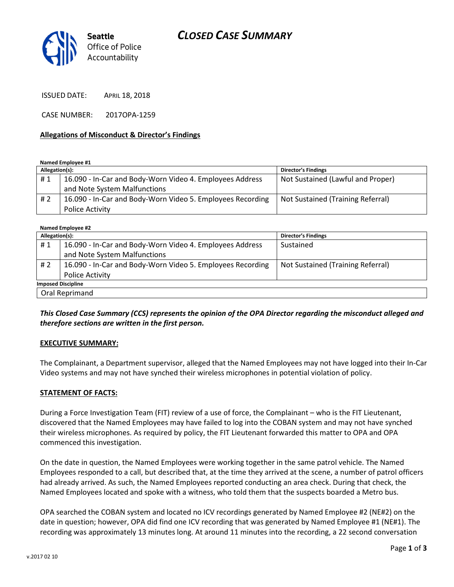

ISSUED DATE: APRIL 18, 2018

CASE NUMBER: 2017OPA-1259

#### Allegations of Misconduct & Director's Findings

Named Employee #1

| Allegation(s): |                                                            | <b>Director's Findings</b>        |
|----------------|------------------------------------------------------------|-----------------------------------|
| #1             | 16.090 - In-Car and Body-Worn Video 4. Employees Address   | Not Sustained (Lawful and Proper) |
|                | and Note System Malfunctions                               |                                   |
| #2             | 16.090 - In-Car and Body-Worn Video 5. Employees Recording | Not Sustained (Training Referral) |
|                | <b>Police Activity</b>                                     |                                   |

| Named Employee #2         |                                                            |                                   |  |
|---------------------------|------------------------------------------------------------|-----------------------------------|--|
| Allegation(s):            |                                                            | <b>Director's Findings</b>        |  |
| #1                        | 16.090 - In-Car and Body-Worn Video 4. Employees Address   | Sustained                         |  |
|                           | and Note System Malfunctions                               |                                   |  |
| #2                        | 16.090 - In-Car and Body-Worn Video 5. Employees Recording | Not Sustained (Training Referral) |  |
|                           | Police Activity                                            |                                   |  |
| <b>Imposed Discipline</b> |                                                            |                                   |  |
| Oral Reprimand            |                                                            |                                   |  |

This Closed Case Summary (CCS) represents the opinion of the OPA Director regarding the misconduct alleged and therefore sections are written in the first person.

#### EXECUTIVE SUMMARY:

The Complainant, a Department supervisor, alleged that the Named Employees may not have logged into their In-Car Video systems and may not have synched their wireless microphones in potential violation of policy.

#### STATEMENT OF FACTS:

During a Force Investigation Team (FIT) review of a use of force, the Complainant – who is the FIT Lieutenant, discovered that the Named Employees may have failed to log into the COBAN system and may not have synched their wireless microphones. As required by policy, the FIT Lieutenant forwarded this matter to OPA and OPA commenced this investigation.

On the date in question, the Named Employees were working together in the same patrol vehicle. The Named Employees responded to a call, but described that, at the time they arrived at the scene, a number of patrol officers had already arrived. As such, the Named Employees reported conducting an area check. During that check, the Named Employees located and spoke with a witness, who told them that the suspects boarded a Metro bus.

OPA searched the COBAN system and located no ICV recordings generated by Named Employee #2 (NE#2) on the date in question; however, OPA did find one ICV recording that was generated by Named Employee #1 (NE#1). The recording was approximately 13 minutes long. At around 11 minutes into the recording, a 22 second conversation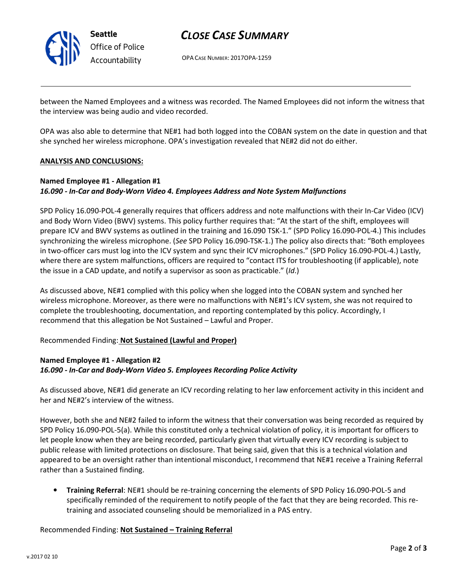

Seattle Office of Police Accountability

# CLOSE CASE SUMMARY

OPA CASE NUMBER: 2017OPA-1259

between the Named Employees and a witness was recorded. The Named Employees did not inform the witness that the interview was being audio and video recorded.

OPA was also able to determine that NE#1 had both logged into the COBAN system on the date in question and that she synched her wireless microphone. OPA's investigation revealed that NE#2 did not do either.

### ANALYSIS AND CONCLUSIONS:

## Named Employee #1 - Allegation #1 16.090 - In-Car and Body-Worn Video 4. Employees Address and Note System Malfunctions

SPD Policy 16.090-POL-4 generally requires that officers address and note malfunctions with their In-Car Video (ICV) and Body Worn Video (BWV) systems. This policy further requires that: "At the start of the shift, employees will prepare ICV and BWV systems as outlined in the training and 16.090 TSK-1." (SPD Policy 16.090-POL-4.) This includes synchronizing the wireless microphone. (See SPD Policy 16.090-TSK-1.) The policy also directs that: "Both employees in two-officer cars must log into the ICV system and sync their ICV microphones." (SPD Policy 16.090-POL-4.) Lastly, where there are system malfunctions, officers are required to "contact ITS for troubleshooting (if applicable), note the issue in a CAD update, and notify a supervisor as soon as practicable." (Id.)

As discussed above, NE#1 complied with this policy when she logged into the COBAN system and synched her wireless microphone. Moreover, as there were no malfunctions with NE#1's ICV system, she was not required to complete the troubleshooting, documentation, and reporting contemplated by this policy. Accordingly, I recommend that this allegation be Not Sustained – Lawful and Proper.

### Recommended Finding: Not Sustained (Lawful and Proper)

## Named Employee #1 - Allegation #2 16.090 - In-Car and Body-Worn Video 5. Employees Recording Police Activity

As discussed above, NE#1 did generate an ICV recording relating to her law enforcement activity in this incident and her and NE#2's interview of the witness.

However, both she and NE#2 failed to inform the witness that their conversation was being recorded as required by SPD Policy 16.090-POL-5(a). While this constituted only a technical violation of policy, it is important for officers to let people know when they are being recorded, particularly given that virtually every ICV recording is subject to public release with limited protections on disclosure. That being said, given that this is a technical violation and appeared to be an oversight rather than intentional misconduct, I recommend that NE#1 receive a Training Referral rather than a Sustained finding.

• Training Referral: NE#1 should be re-training concerning the elements of SPD Policy 16.090-POL-5 and specifically reminded of the requirement to notify people of the fact that they are being recorded. This retraining and associated counseling should be memorialized in a PAS entry.

### Recommended Finding: Not Sustained – Training Referral